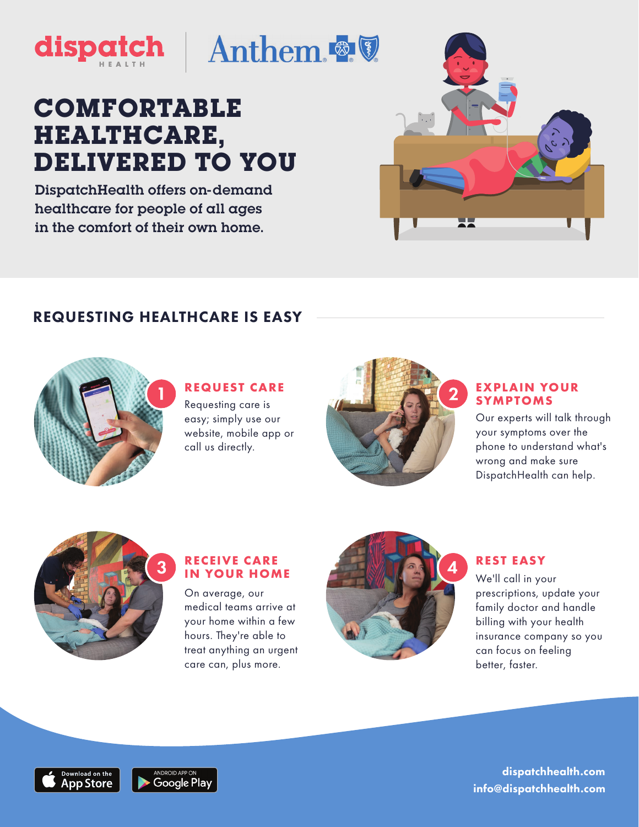

## **COMFORTABLE HEALTHCARE, DELIVERED TO YOU**

DispatchHealth offers on-demand healthcare for people of all ages in the comfort of their own home.

## REQUESTING HEALTHCARE IS EASY



#### **Requesting care is REQUEST CARE**

easy; simply use our website, mobile app or call us directly.



# **EXPLAIN YOUR**

Our experts will talk through your symptoms over the phone to understand what's wrong and make sure DispatchHealth can help.



#### **RECEIVE CARE IN YOUR HOME**

On average, our medical teams arrive at your home within a few hours. They're able to treat anything an urgent care can, plus more.



#### **REST EASY**

We'll call in your prescriptions, update your family doctor and handle billing with your health insurance company so you can focus on feeling better, faster.





 info@dispatchhealth.com dispatchhealth.com